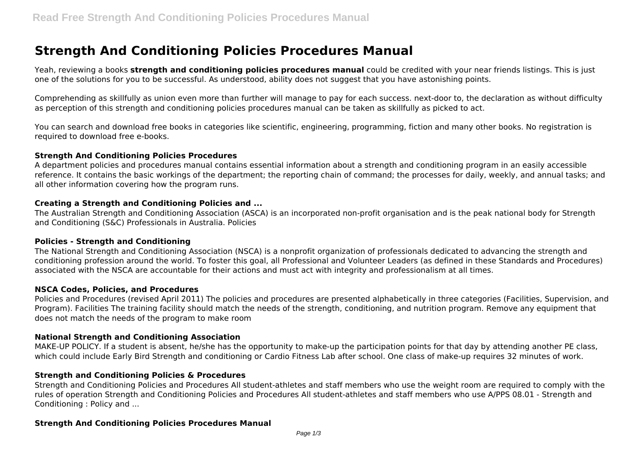# **Strength And Conditioning Policies Procedures Manual**

Yeah, reviewing a books **strength and conditioning policies procedures manual** could be credited with your near friends listings. This is just one of the solutions for you to be successful. As understood, ability does not suggest that you have astonishing points.

Comprehending as skillfully as union even more than further will manage to pay for each success. next-door to, the declaration as without difficulty as perception of this strength and conditioning policies procedures manual can be taken as skillfully as picked to act.

You can search and download free books in categories like scientific, engineering, programming, fiction and many other books. No registration is required to download free e-books.

#### **Strength And Conditioning Policies Procedures**

A department policies and procedures manual contains essential information about a strength and conditioning program in an easily accessible reference. It contains the basic workings of the department; the reporting chain of command; the processes for daily, weekly, and annual tasks; and all other information covering how the program runs.

#### **Creating a Strength and Conditioning Policies and ...**

The Australian Strength and Conditioning Association (ASCA) is an incorporated non-profit organisation and is the peak national body for Strength and Conditioning (S&C) Professionals in Australia. Policies

#### **Policies - Strength and Conditioning**

The National Strength and Conditioning Association (NSCA) is a nonprofit organization of professionals dedicated to advancing the strength and conditioning profession around the world. To foster this goal, all Professional and Volunteer Leaders (as defined in these Standards and Procedures) associated with the NSCA are accountable for their actions and must act with integrity and professionalism at all times.

#### **NSCA Codes, Policies, and Procedures**

Policies and Procedures (revised April 2011) The policies and procedures are presented alphabetically in three categories (Facilities, Supervision, and Program). Facilities The training facility should match the needs of the strength, conditioning, and nutrition program. Remove any equipment that does not match the needs of the program to make room

#### **National Strength and Conditioning Association**

MAKE-UP POLICY. If a student is absent, he/she has the opportunity to make-up the participation points for that day by attending another PE class, which could include Early Bird Strength and conditioning or Cardio Fitness Lab after school. One class of make-up requires 32 minutes of work.

#### **Strength and Conditioning Policies & Procedures**

Strength and Conditioning Policies and Procedures All student-athletes and staff members who use the weight room are required to comply with the rules of operation Strength and Conditioning Policies and Procedures All student-athletes and staff members who use A/PPS 08.01 - Strength and Conditioning : Policy and ...

#### **Strength And Conditioning Policies Procedures Manual**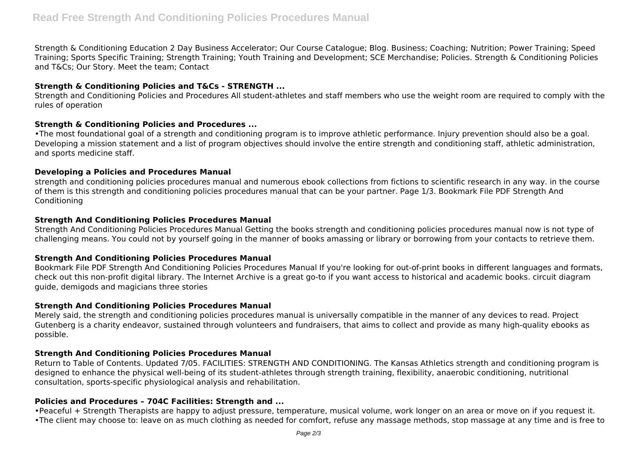Strength & Conditioning Education 2 Day Business Accelerator; Our Course Catalogue; Blog. Business; Coaching; Nutrition; Power Training; Speed Training; Sports Specific Training; Strength Training; Youth Training and Development; SCE Merchandise; Policies. Strength & Conditioning Policies and T&Cs; Our Story. Meet the team; Contact

## **Strength & Conditioning Policies and T&Cs - STRENGTH ...**

Strength and Conditioning Policies and Procedures All student-athletes and staff members who use the weight room are required to comply with the rules of operation

## **Strength & Conditioning Policies and Procedures ...**

•The most foundational goal of a strength and conditioning program is to improve athletic performance. Injury prevention should also be a goal. Developing a mission statement and a list of program objectives should involve the entire strength and conditioning staff, athletic administration, and sports medicine staff.

## **Developing a Policies and Procedures Manual**

strength and conditioning policies procedures manual and numerous ebook collections from fictions to scientific research in any way. in the course of them is this strength and conditioning policies procedures manual that can be your partner. Page 1/3. Bookmark File PDF Strength And Conditioning

## **Strength And Conditioning Policies Procedures Manual**

Strength And Conditioning Policies Procedures Manual Getting the books strength and conditioning policies procedures manual now is not type of challenging means. You could not by yourself going in the manner of books amassing or library or borrowing from your contacts to retrieve them.

## **Strength And Conditioning Policies Procedures Manual**

Bookmark File PDF Strength And Conditioning Policies Procedures Manual If you're looking for out-of-print books in different languages and formats, check out this non-profit digital library. The Internet Archive is a great go-to if you want access to historical and academic books. circuit diagram guide, demigods and magicians three stories

## **Strength And Conditioning Policies Procedures Manual**

Merely said, the strength and conditioning policies procedures manual is universally compatible in the manner of any devices to read. Project Gutenberg is a charity endeavor, sustained through volunteers and fundraisers, that aims to collect and provide as many high-quality ebooks as possible.

## **Strength And Conditioning Policies Procedures Manual**

Return to Table of Contents. Updated 7/05. FACILITIES: STRENGTH AND CONDITIONING. The Kansas Athletics strength and conditioning program is designed to enhance the physical well-being of its student-athletes through strength training, flexibility, anaerobic conditioning, nutritional consultation, sports-specific physiological analysis and rehabilitation.

# **Policies and Procedures – 704C Facilities: Strength and ...**

•Peaceful + Strength Therapists are happy to adjust pressure, temperature, musical volume, work longer on an area or move on if you request it.

•The client may choose to: leave on as much clothing as needed for comfort, refuse any massage methods, stop massage at any time and is free to